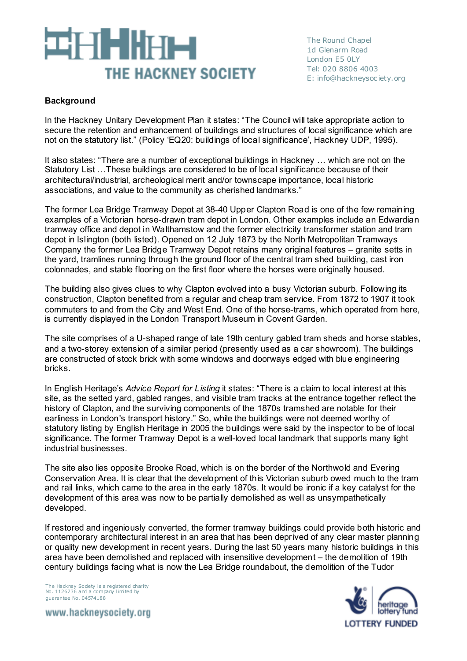# ET HIHT THE HACKNEY SOCIETY

The Round Chapel 1d Glenarm Road London E5 0LY Tel: 020 8806 4003 E: info@hackneysoc iety.org

# **Background**

In the Hackney Unitary Development Plan it states: "The Council will take appropriate action to secure the retention and enhancement of buildings and structures of local significance which are not on the statutory list." (Policy 'EQ20: buildings of local significance', Hackney UDP, 1995).

It also states: "There are a number of exceptional buildings in Hackney … which are not on the Statutory List …These buildings are considered to be of local significance because of their architectural/industrial, archeological merit and/or townscape importance, local historic associations, and value to the community as cherished landmarks."

The former Lea Bridge Tramway Depot at 38-40 Upper Clapton Road is one of the few remaining examples of a Victorian horse-drawn tram depot in London. Other examples include an Edwardian tramway office and depot in Walthamstow and the former electricity transformer station and tram depot in Islington (both listed). Opened on 12 July 1873 by the North Metropolitan Tramways Company the former Lea Bridge Tramway Depot retains many original features – granite setts in the yard, tramlines running through the ground floor of the central tram shed building, cast iron colonnades, and stable flooring on the first floor where the horses were originally housed.

The building also gives clues to why Clapton evolved into a busy Victorian suburb. Following its construction, Clapton benefited from a regular and cheap tram service. From 1872 to 1907 it took commuters to and from the City and West End. One of the horse-trams, which operated from here, is currently displayed in the London Transport Museum in Covent Garden.

The site comprises of a U-shaped range of late 19th century gabled tram sheds and horse stables, and a two-storey extension of a similar period (presently used as a car showroom). The buildings are constructed of stock brick with some windows and doorways edged with blue engineering bricks.

In English Heritage's *Advice Report for Listing* it states: "There is a claim to local interest at this site, as the setted yard, gabled ranges, and visible tram tracks at the entrance together reflect the history of Clapton, and the surviving components of the 1870s tramshed are notable for their earliness in London's transport history." So, while the buildings were not deemed worthy of statutory listing by English Heritage in 2005 the buildings were said by the inspector to be of local significance. The former Tramway Depot is a well-loved local landmark that supports many light industrial businesses.

The site also lies opposite Brooke Road, which is on the border of the Northwold and Evering Conservation Area. It is clear that the development of this Victorian suburb owed much to the tram and rail links, which came to the area in the early 1870s. It would be ironic if a key catalyst for the development of this area was now to be partially demolished as well as unsympathetically developed.

If restored and ingeniously converted, the former tramway buildings could provide both historic and contemporary architectural interest in an area that has been deprived of any clear master planning or quality new development in recent years. During the last 50 years many historic buildings in this area have been demolished and replaced with insensitive development – the demolition of 19th century buildings facing what is now the Lea Bridge roundabout, the demolition of the Tudor

The Hackney Society is a registered charity No. 1126736 and a company limited by guarantee No. 04574188

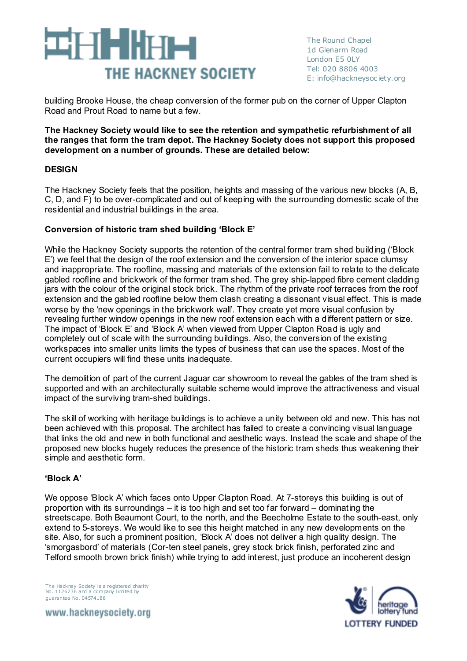# 91 - IX **THE HACKNEY SOCIETY**

building Brooke House, the cheap conversion of the former pub on the corner of Upper Clapton Road and Prout Road to name but a few.

#### **The Hackney Society would like to see the retention and sympathetic refurbishment of all the ranges that form the tram depot. The Hackney Society does not support this proposed development on a number of grounds. These are detailed below:**

# **DESIGN**

The Hackney Society feels that the position, heights and massing of the various new blocks (A, B, C, D, and F) to be over-complicated and out of keeping with the surrounding domestic scale of the residential and industrial buildings in the area.

# **Conversion of historic tram shed building 'Block E'**

While the Hackney Society supports the retention of the central former tram shed building ('Block E') we feel that the design of the roof extension and the conversion of the interior space clumsy and inappropriate. The roofline, massing and materials of the extension fail to relate to the delicate gabled roofline and brickwork of the former tram shed. The grey ship-lapped fibre cement cladding jars with the colour of the original stock brick. The rhythm of the private roof terraces from the roof extension and the gabled roofline below them clash creating a dissonant visual effect. This is made worse by the 'new openings in the brickwork wall'. They create yet more visual confusion by revealing further window openings in the new roof extension each with a different pattern or size. The impact of 'Block E' and 'Block A' when viewed from Upper Clapton Road is ugly and completely out of scale with the surrounding buildings. Also, the conversion of the existing workspaces into smaller units limits the types of business that can use the spaces. Most of the current occupiers will find these units inadequate.

The demolition of part of the current Jaguar car showroom to reveal the gables of the tram shed is supported and with an architecturally suitable scheme would improve the attractiveness and visual impact of the surviving tram-shed buildings.

The skill of working with heritage buildings is to achieve a unity between old and new. This has not been achieved with this proposal. The architect has failed to create a convincing visual language that links the old and new in both functional and aesthetic ways. Instead the scale and shape of the proposed new blocks hugely reduces the presence of the historic tram sheds thus weakening their simple and aesthetic form.

### **'Block A'**

We oppose 'Block A' which faces onto Upper Clapton Road. At 7-storeys this building is out of proportion with its surroundings – it is too high and set too far forward – dominating the streetscape. Both Beaumont Court, to the north, and the Beecholme Estate to the south-east, only extend to 5-storeys. We would like to see this height matched in any new developments on the site. Also, for such a prominent position, 'Block A' does not deliver a high quality design. The 'smorgasbord' of materials (Cor-ten steel panels, grey stock brick finish, perforated zinc and Telford smooth brown brick finish) while trying to add interest, just produce an incoherent design

The Hackney Society is a registered charity No. 1126736 and a company limited by guarantee No. 04574188

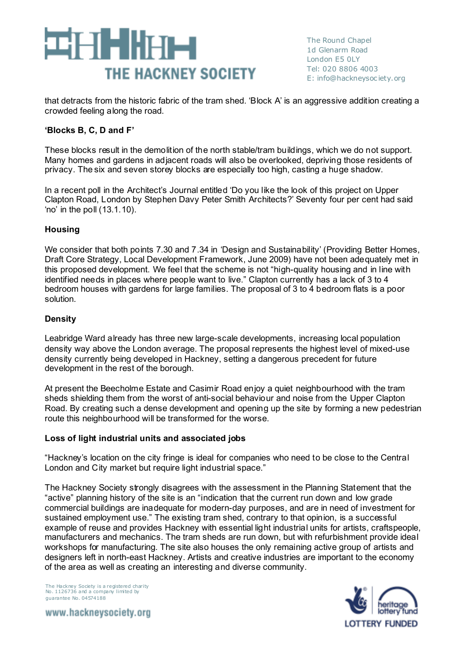

that detracts from the historic fabric of the tram shed. 'Block A' is an aggressive addition creating a crowded feeling along the road.

### **'Blocks B, C, D and F'**

These blocks result in the demolition of the north stable/tram buildings, which we do not support. Many homes and gardens in adjacent roads will also be overlooked, depriving those residents of privacy. The six and seven storey blocks are especially too high, casting a huge shadow.

In a recent poll in the Architect's Journal entitled 'Do you like the look of this project on Upper Clapton Road, London by Stephen Davy Peter Smith Architects?' Seventy four per cent had said 'no' in the poll (13.1.10).

# **Housing**

We consider that both points 7.30 and 7.34 in 'Design and Sustainability' (Providing Better Homes, Draft Core Strategy, Local Development Framework, June 2009) have not been adequately met in this proposed development. We feel that the scheme is not "high-quality housing and in line with identified needs in places where people want to live." Clapton currently has a lack of 3 to 4 bedroom houses with gardens for large families. The proposal of 3 to 4 bedroom flats is a poor solution.

### **Density**

Leabridge Ward already has three new large-scale developments, increasing local population density way above the London average. The proposal represents the highest level of mixed-use density currently being developed in Hackney, setting a dangerous precedent for future development in the rest of the borough.

At present the Beecholme Estate and Casimir Road enjoy a quiet neighbourhood with the tram sheds shielding them from the worst of anti-social behaviour and noise from the Upper Clapton Road. By creating such a dense development and opening up the site by forming a new pedestrian route this neighbourhood will be transformed for the worse.

### **Loss of light industrial units and associated jobs**

"Hackney's location on the city fringe is ideal for companies who need to be close to the Central London and City market but require light industrial space."

The Hackney Society strongly disagrees with the assessment in the Planning Statement that the "active" planning history of the site is an "indication that the current run down and low grade commercial buildings are inadequate for modern-day purposes, and are in need of investment for sustained employment use." The existing tram shed, contrary to that opinion, is a successful example of reuse and provides Hackney with essential light industrial units for artists, craftspeople, manufacturers and mechanics. The tram sheds are run down, but with refurbishment provide ideal workshops for manufacturing. The site also houses the only remaining active group of artists and designers left in north-east Hackney. Artists and creative industries are important to the economy of the area as well as creating an interesting and diverse community.

The Hackney Society is a registered charity No. 1126736 and a company limited by guarantee No. 04574188

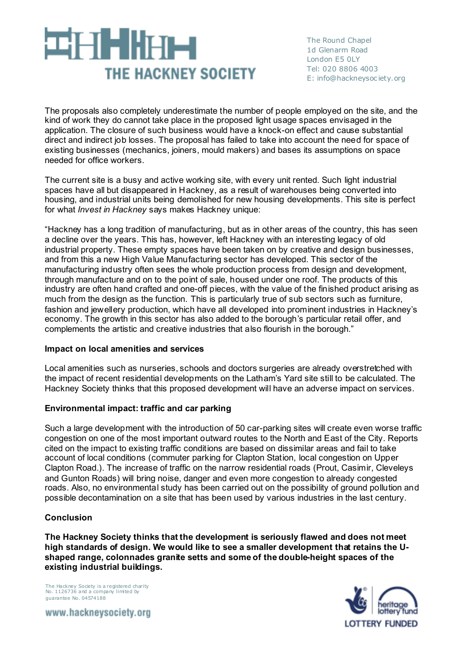# 31-T - II HT-1 THE HACKNEY SOCIETY

The Round Chapel 1d Glenarm Road London E5 0LY Tel: 020 8806 4003 E: info@hackneysoc iety.org

The proposals also completely underestimate the number of people employed on the site, and the kind of work they do cannot take place in the proposed light usage spaces envisaged in the application. The closure of such business would have a knock-on effect and cause substantial direct and indirect job losses. The proposal has failed to take into account the need for space of existing businesses (mechanics, joiners, mould makers) and bases its assumptions on space needed for office workers.

The current site is a busy and active working site, with every unit rented. Such light industrial spaces have all but disappeared in Hackney, as a result of warehouses being converted into housing, and industrial units being demolished for new housing developments. This site is perfect for what *Invest in Hackney* says makes Hackney unique:

"Hackney has a long tradition of manufacturing, but as in other areas of the country, this has seen a decline over the years. This has, however, left Hackney with an interesting legacy of old industrial property. These empty spaces have been taken on by creative and design businesses, and from this a new High Value Manufacturing sector has developed. This sector of the manufacturing industry often sees the whole production process from design and development, through manufacture and on to the point of sale, housed under one roof. The products of this industry are often hand crafted and one-off pieces, with the value of the finished product arising as much from the design as the function. This is particularly true of sub sectors such as furniture, fashion and jewellery production, which have all developed into prominent industries in Hackney's economy. The growth in this sector has also added to the borough's particular retail offer, and complements the artistic and creative industries that also flourish in the borough."

### **Impact on local amenities and services**

Local amenities such as nurseries, schools and doctors surgeries are already overstretched with the impact of recent residential developments on the Latham's Yard site still to be calculated. The Hackney Society thinks that this proposed development will have an adverse impact on services.

### **Environmental impact: traffic and car parking**

Such a large development with the introduction of 50 car-parking sites will create even worse traffic congestion on one of the most important outward routes to the North and East of the City. Reports cited on the impact to existing traffic conditions are based on dissimilar areas and fail to take account of local conditions (commuter parking for Clapton Station, local congestion on Upper Clapton Road.). The increase of traffic on the narrow residential roads (Prout, Casimir, Cleveleys and Gunton Roads) will bring noise, danger and even more congestion to already congested roads. Also, no environmental study has been carried out on the possibility of ground pollution and possible decontamination on a site that has been used by various industries in the last century.

### **Conclusion**

**The Hackney Society thinks that the development is seriously flawed and does not meet high standards of design. We would like to see a smaller development that retains the Ushaped range, colonnades granite setts and some of the double-height spaces of the existing industrial buildings.**

The Hackney Society is a registered charity No. 1126736 and a company limited by guarantee No. 04574188